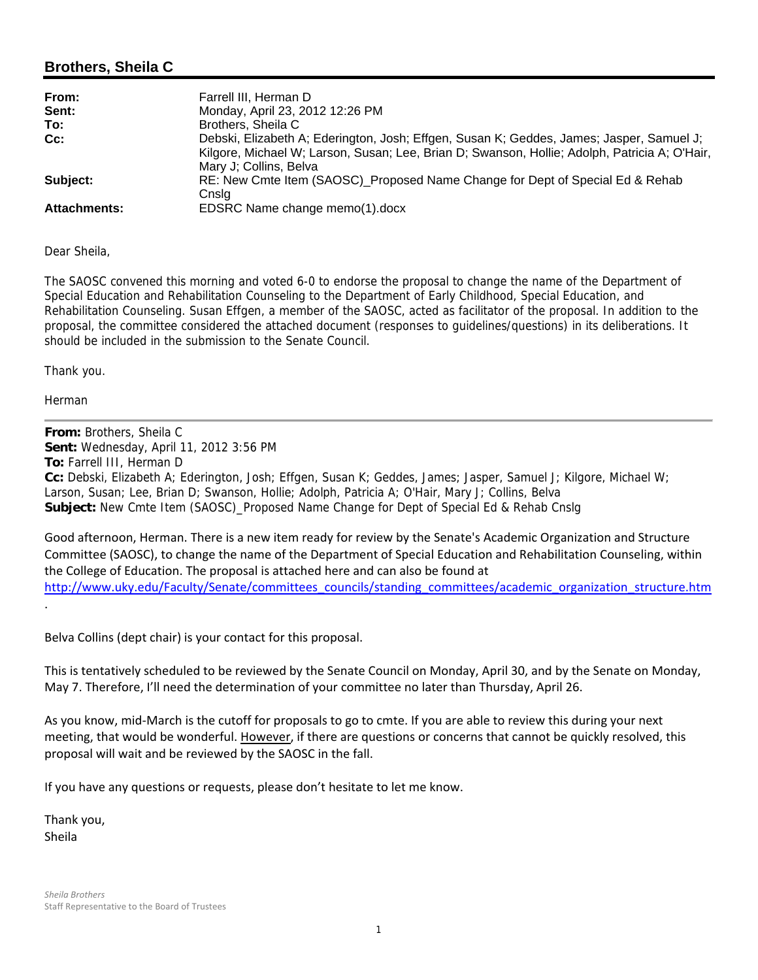## **Brothers, Sheila C**

| From:               | Farrell III, Herman D                                                                                                                                                                                               |
|---------------------|---------------------------------------------------------------------------------------------------------------------------------------------------------------------------------------------------------------------|
| Sent:               | Monday, April 23, 2012 12:26 PM                                                                                                                                                                                     |
| To:                 | Brothers, Sheila C                                                                                                                                                                                                  |
| Cc:                 | Debski, Elizabeth A; Ederington, Josh; Effgen, Susan K; Geddes, James; Jasper, Samuel J;<br>Kilgore, Michael W; Larson, Susan; Lee, Brian D; Swanson, Hollie; Adolph, Patricia A; O'Hair,<br>Mary J; Collins, Belva |
| Subject:            | RE: New Cmte Item (SAOSC) Proposed Name Change for Dept of Special Ed & Rehab<br>Cnslg                                                                                                                              |
| <b>Attachments:</b> | EDSRC Name change memo(1).docx                                                                                                                                                                                      |

Dear Sheila,

The SAOSC convened this morning and voted 6-0 to endorse the proposal to change the name of the Department of Special Education and Rehabilitation Counseling to the Department of Early Childhood, Special Education, and Rehabilitation Counseling. Susan Effgen, a member of the SAOSC, acted as facilitator of the proposal. In addition to the proposal, the committee considered the attached document (responses to guidelines/questions) in its deliberations. It should be included in the submission to the Senate Council.

Thank you.

Herman

.

**From:** Brothers, Sheila C **Sent:** Wednesday, April 11, 2012 3:56 PM **To:** Farrell III, Herman D **Cc:** Debski, Elizabeth A; Ederington, Josh; Effgen, Susan K; Geddes, James; Jasper, Samuel J; Kilgore, Michael W; Larson, Susan; Lee, Brian D; Swanson, Hollie; Adolph, Patricia A; O'Hair, Mary J; Collins, Belva **Subject:** New Cmte Item (SAOSC)\_Proposed Name Change for Dept of Special Ed & Rehab Cnslg

Good afternoon, Herman. There is a new item ready for review by the Senate's Academic Organization and Structure Committee (SAOSC), to change the name of the Department of Special Education and Rehabilitation Counseling, within the College of Education. The proposal is attached here and can also be found at http://www.uky.edu/Faculty/Senate/committees\_councils/standing\_committees/academic\_organization\_structure.htm

Belva Collins (dept chair) is your contact for this proposal.

This is tentatively scheduled to be reviewed by the Senate Council on Monday, April 30, and by the Senate on Monday, May 7. Therefore, I'll need the determination of your committee no later than Thursday, April 26.

As you know, mid‐March is the cutoff for proposals to go to cmte. If you are able to review this during your next meeting, that would be wonderful. However, if there are questions or concerns that cannot be quickly resolved, this proposal will wait and be reviewed by the SAOSC in the fall.

If you have any questions or requests, please don't hesitate to let me know.

Thank you, Sheila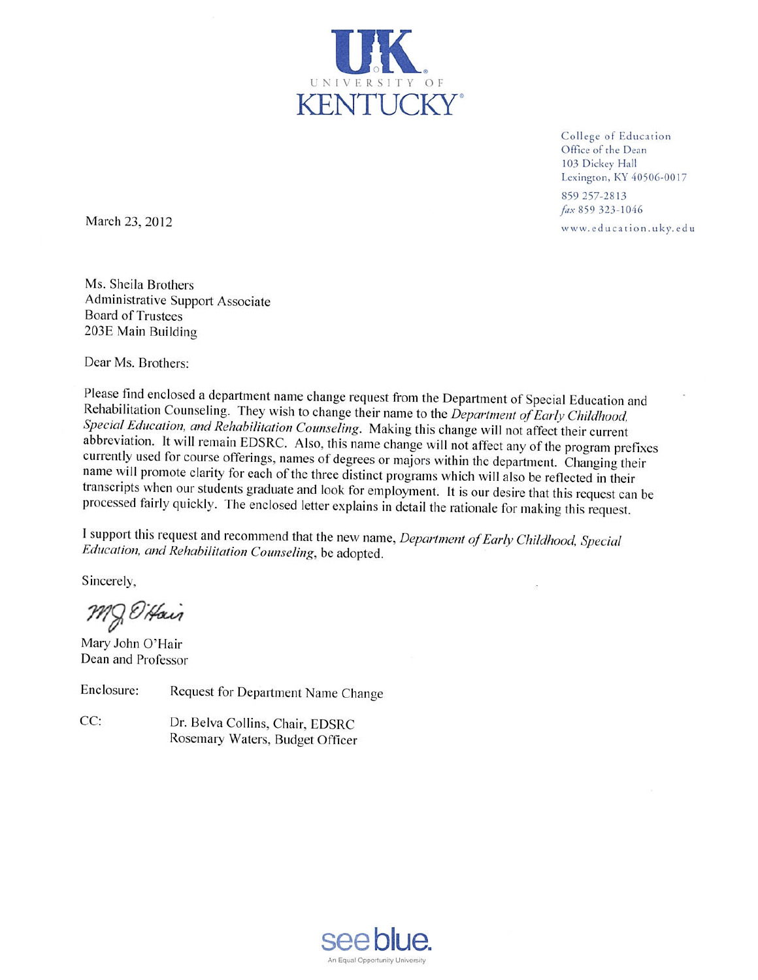

College of Education Office of the Dean 103 Dickey Hall Lexington, KY 40506-0017 859 257-2813

fax 859 323-1046

www.education.uky.edu

March 23, 2012

Ms. Sheila Brothers Administrative Support Associate **Board of Trustees** 203E Main Building

Dear Ms. Brothers:

Please find enclosed a department name change request from the Department of Special Education and Rehabilitation Counseling. They wish to change their name to the Department of Early Childhood, Special Education, and Rehabilitation Counseling. Making this change will not affect their current abbreviation. It will remain EDSRC. Also, this name change will not affect any of the program prefixes currently used for course offerings, names of degrees or majors within the department. Changing their name will promote clarity for each of the three distinct programs which will also be reflected in their transcripts when our students graduate and look for employment. It is our desire that this request can be processed fairly quickly. The enclosed letter explains in detail the rationale for making this request.

I support this request and recommend that the new name, Department of Early Childhood, Special Education, and Rehabilitation Counseling, be adopted.

Sincerely,

MJ D'Hair

Mary John O'Hair Dean and Professor

Enclosure: Request for Department Name Change

 $CC:$ Dr. Belva Collins, Chair, EDSRC Rosemary Waters, Budget Officer